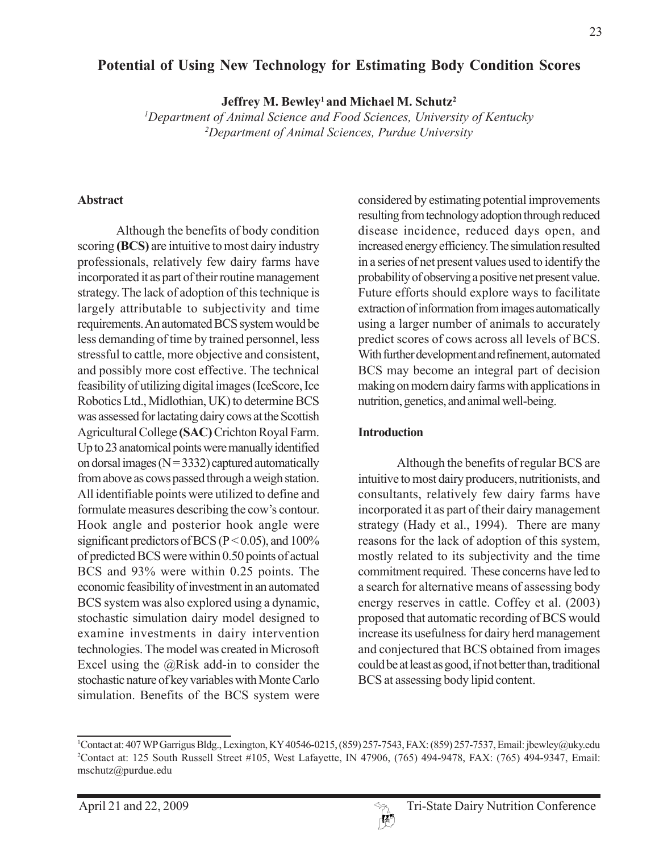# **Potential of Using New Technology for Estimating Body Condition Scores**

Jeffrey M. Bewley<sup>1</sup> and Michael M. Schutz<sup>2</sup>

*1 Department of Animal Science and Food Sciences, University of Kentucky 2 Department of Animal Sciences, Purdue University*

#### **Abstract**

Although the benefits of body condition scoring **(BCS)** are intuitive to most dairy industry professionals, relatively few dairy farms have incorporated it as part of their routine management strategy. The lack of adoption of this technique is largely attributable to subjectivity and time requirements. An automated BCS system would be less demanding of time by trained personnel, less stressful to cattle, more objective and consistent, and possibly more cost effective. The technical feasibility of utilizing digital images (IceScore, Ice Robotics Ltd., Midlothian, UK) to determine BCS was assessed for lactating dairy cows at the Scottish Agricultural College **(SAC)** Crichton Royal Farm. Up to 23 anatomical points were manually identified on dorsal images ( $N = 3332$ ) captured automatically from above as cows passed through a weigh station. All identifiable points were utilized to define and formulate measures describing the cow's contour. Hook angle and posterior hook angle were significant predictors of BCS ( $P < 0.05$ ), and 100% of predicted BCS were within 0.50 points of actual BCS and 93% were within 0.25 points. The economic feasibility of investment in an automated BCS system was also explored using a dynamic, stochastic simulation dairy model designed to examine investments in dairy intervention technologies. The model was created in Microsoft Excel using the  $(a)$ Risk add-in to consider the stochastic nature of key variables with Monte Carlo simulation. Benefits of the BCS system were

considered by estimating potential improvements resulting from technology adoption through reduced disease incidence, reduced days open, and increased energy efficiency. The simulation resulted in a series of net present values used to identify the probability of observing a positive net present value. Future efforts should explore ways to facilitate extraction of information from images automatically using a larger number of animals to accurately predict scores of cows across all levels of BCS. With further development and refinement, automated BCS may become an integral part of decision making on modern dairy farms with applications in nutrition, genetics, and animal well-being.

#### **Introduction**

Although the benefits of regular BCS are intuitive to most dairy producers, nutritionists, and consultants, relatively few dairy farms have incorporated it as part of their dairy management strategy (Hady et al., 1994). There are many reasons for the lack of adoption of this system, mostly related to its subjectivity and the time commitment required. These concerns have led to a search for alternative means of assessing body energy reserves in cattle. Coffey et al. (2003) proposed that automatic recording of BCS would increase its usefulness for dairy herd management and conjectured that BCS obtained from images could be at least as good, if not better than, traditional BCS at assessing body lipid content.



<sup>1</sup> Contact at: 407 WP Garrigus Bldg., Lexington, KY 40546-0215, (859) 257-7543, FAX: (859) 257-7537, Email: jbewley@uky.edu 2 Contact at: 125 South Russell Street #105, West Lafayette, IN 47906, (765) 494-9478, FAX: (765) 494-9347, Email: mschutz@purdue.edu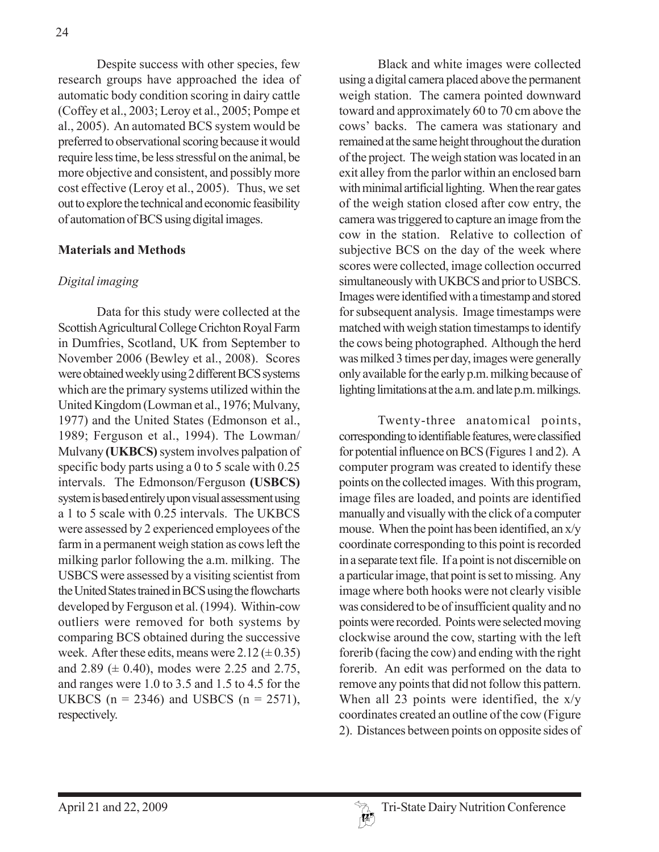Despite success with other species, few research groups have approached the idea of automatic body condition scoring in dairy cattle (Coffey et al., 2003; Leroy et al., 2005; Pompe et al., 2005). An automated BCS system would be preferred to observational scoring because it would require less time, be less stressful on the animal, be more objective and consistent, and possibly more cost effective (Leroy et al., 2005). Thus, we set out to explore the technical and economic feasibility of automation of BCS using digital images.

## **Materials and Methods**

## *Digital imaging*

Data for this study were collected at the Scottish Agricultural College Crichton Royal Farm in Dumfries, Scotland, UK from September to November 2006 (Bewley et al., 2008). Scores were obtained weekly using 2 different BCS systems which are the primary systems utilized within the United Kingdom (Lowman et al., 1976; Mulvany, 1977) and the United States (Edmonson et al., 1989; Ferguson et al., 1994). The Lowman/ Mulvany **(UKBCS)** system involves palpation of specific body parts using a 0 to 5 scale with 0.25 intervals. The Edmonson/Ferguson **(USBCS)** system is based entirely upon visual assessment using a 1 to 5 scale with 0.25 intervals. The UKBCS were assessed by 2 experienced employees of the farm in a permanent weigh station as cows left the milking parlor following the a.m. milking. The USBCS were assessed by a visiting scientist from the United States trained in BCS using the flowcharts developed by Ferguson et al. (1994). Within-cow outliers were removed for both systems by comparing BCS obtained during the successive week. After these edits, means were  $2.12 \pm 0.35$ ) and 2.89 ( $\pm$  0.40), modes were 2.25 and 2.75, and ranges were 1.0 to 3.5 and 1.5 to 4.5 for the UKBCS ( $n = 2346$ ) and USBCS ( $n = 2571$ ), respectively.

Black and white images were collected using a digital camera placed above the permanent weigh station. The camera pointed downward toward and approximately 60 to 70 cm above the cows' backs. The camera was stationary and remained at the same height throughout the duration of the project. The weigh station was located in an exit alley from the parlor within an enclosed barn with minimal artificial lighting. When the rear gates of the weigh station closed after cow entry, the camera was triggered to capture an image from the cow in the station. Relative to collection of subjective BCS on the day of the week where scores were collected, image collection occurred simultaneously with UKBCS and prior to USBCS. Images were identified with a timestamp and stored for subsequent analysis. Image timestamps were matched with weigh station timestamps to identify the cows being photographed. Although the herd was milked 3 times per day, images were generally only available for the early p.m. milking because of lighting limitations at the a.m. and late p.m. milkings.

Twenty-three anatomical points, corresponding to identifiable features, were classified for potential influence on BCS (Figures 1 and 2). A computer program was created to identify these points on the collected images. With this program, image files are loaded, and points are identified manually and visually with the click of a computer mouse. When the point has been identified, an x/y coordinate corresponding to this point is recorded in a separate text file. If a point is not discernible on a particular image, that point is set to missing. Any image where both hooks were not clearly visible was considered to be of insufficient quality and no points were recorded. Points were selected moving clockwise around the cow, starting with the left forerib (facing the cow) and ending with the right forerib. An edit was performed on the data to remove any points that did not follow this pattern. When all 23 points were identified, the  $x/y$ coordinates created an outline of the cow (Figure 2). Distances between points on opposite sides of

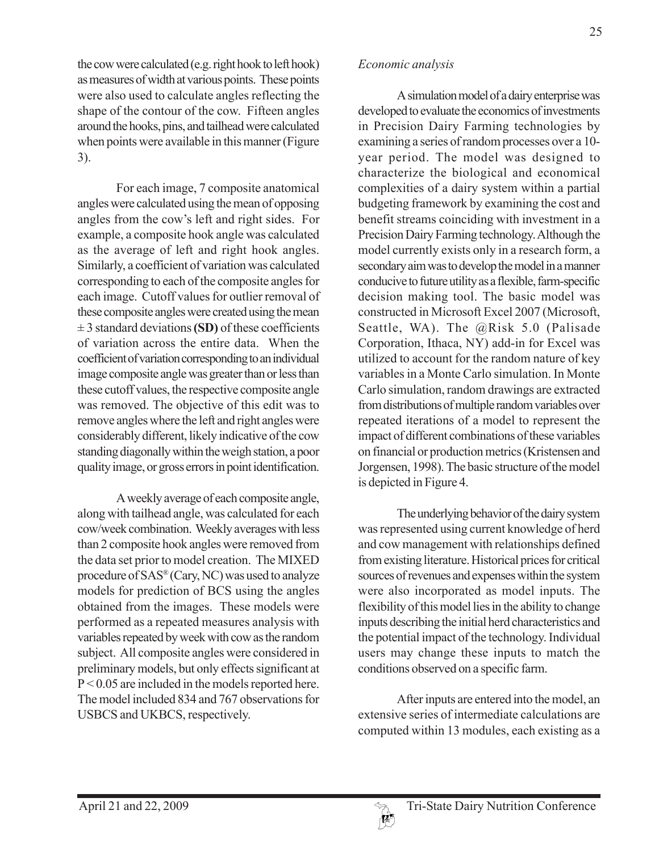the cow were calculated (e.g. right hook to left hook) as measures of width at various points. These points were also used to calculate angles reflecting the shape of the contour of the cow. Fifteen angles around the hooks, pins, and tailhead were calculated when points were available in this manner (Figure 3).

For each image, 7 composite anatomical angles were calculated using the mean of opposing angles from the cow's left and right sides. For example, a composite hook angle was calculated as the average of left and right hook angles. Similarly, a coefficient of variation was calculated corresponding to each of the composite angles for each image. Cutoff values for outlier removal of these composite angles were created using the mean ± 3 standard deviations **(SD)** of these coefficients of variation across the entire data. When the coefficient of variation corresponding to an individual image composite angle was greater than or less than these cutoff values, the respective composite angle was removed. The objective of this edit was to remove angles where the left and right angles were considerably different, likely indicative of the cow standing diagonally within the weigh station, a poor quality image, or gross errors in point identification.

A weekly average of each composite angle, along with tailhead angle, was calculated for each cow/week combination. Weekly averages with less than 2 composite hook angles were removed from the data set prior to model creation. The MIXED procedure of SAS® (Cary, NC) was used to analyze models for prediction of BCS using the angles obtained from the images. These models were performed as a repeated measures analysis with variables repeated by week with cow as the random subject. All composite angles were considered in preliminary models, but only effects significant at P < 0.05 are included in the models reported here. The model included 834 and 767 observations for USBCS and UKBCS, respectively.

#### A simulation model of a dairy enterprise was developed to evaluate the economics of investments in Precision Dairy Farming technologies by examining a series of random processes over a 10 year period. The model was designed to characterize the biological and economical complexities of a dairy system within a partial budgeting framework by examining the cost and benefit streams coinciding with investment in a Precision Dairy Farming technology. Although the model currently exists only in a research form, a secondary aim was to develop the model in a manner conducive to future utility as a flexible, farm-specific decision making tool. The basic model was constructed in Microsoft Excel 2007 (Microsoft, Seattle, WA). The @Risk 5.0 (Palisade Corporation, Ithaca, NY) add-in for Excel was utilized to account for the random nature of key variables in a Monte Carlo simulation. In Monte Carlo simulation, random drawings are extracted from distributions of multiple random variables over repeated iterations of a model to represent the impact of different combinations of these variables on financial or production metrics (Kristensen and Jorgensen, 1998). The basic structure of the model is depicted in Figure 4.

The underlying behavior of the dairy system was represented using current knowledge of herd and cow management with relationships defined from existing literature. Historical prices for critical sources of revenues and expenses within the system were also incorporated as model inputs. The flexibility of this model lies in the ability to change inputs describing the initial herd characteristics and the potential impact of the technology. Individual users may change these inputs to match the conditions observed on a specific farm.

After inputs are entered into the model, an extensive series of intermediate calculations are computed within 13 modules, each existing as a

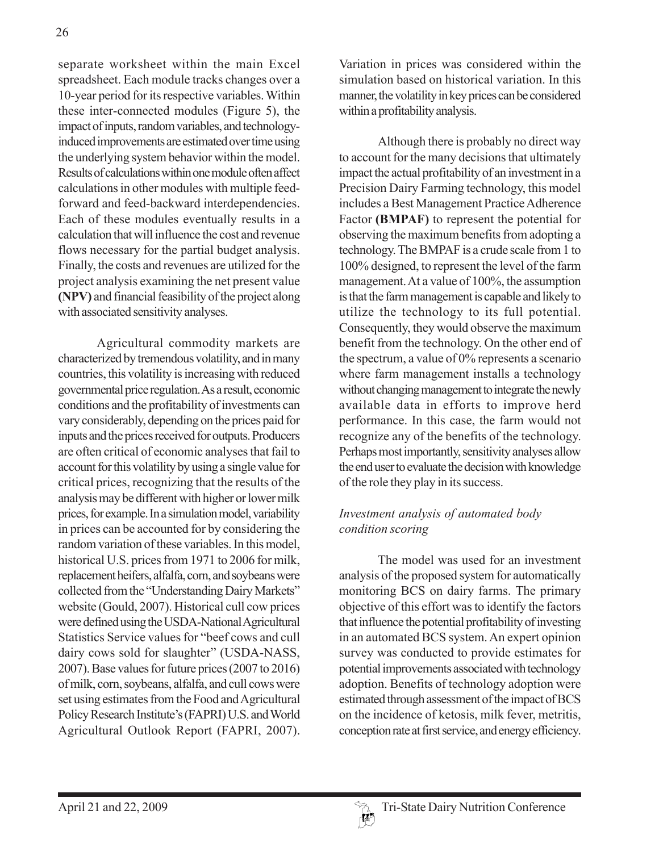separate worksheet within the main Excel spreadsheet. Each module tracks changes over a 10-year period for its respective variables. Within these inter-connected modules (Figure 5), the impact of inputs, random variables, and technologyinduced improvements are estimated over time using the underlying system behavior within the model. Results of calculations within one module often affect calculations in other modules with multiple feedforward and feed-backward interdependencies. Each of these modules eventually results in a calculation that will influence the cost and revenue flows necessary for the partial budget analysis. Finally, the costs and revenues are utilized for the project analysis examining the net present value **(NPV)** and financial feasibility of the project along with associated sensitivity analyses.

Agricultural commodity markets are characterized by tremendous volatility, and in many countries, this volatility is increasing with reduced governmental price regulation. As a result, economic conditions and the profitability of investments can vary considerably, depending on the prices paid for inputs and the prices received for outputs. Producers are often critical of economic analyses that fail to account for this volatility by using a single value for critical prices, recognizing that the results of the analysis may be different with higher or lower milk prices, for example. In a simulation model, variability in prices can be accounted for by considering the random variation of these variables. In this model, historical U.S. prices from 1971 to 2006 for milk, replacement heifers, alfalfa, corn, and soybeans were collected from the "Understanding Dairy Markets" website (Gould, 2007). Historical cull cow prices were defined using the USDA-National Agricultural Statistics Service values for "beef cows and cull dairy cows sold for slaughter" (USDA-NASS, 2007). Base values for future prices (2007 to 2016) of milk, corn, soybeans, alfalfa, and cull cows were set using estimates from the Food and Agricultural Policy Research Institute's (FAPRI) U.S. and World Agricultural Outlook Report (FAPRI, 2007).

Variation in prices was considered within the simulation based on historical variation. In this manner, the volatility in key prices can be considered within a profitability analysis.

Although there is probably no direct way to account for the many decisions that ultimately impact the actual profitability of an investment in a Precision Dairy Farming technology, this model includes a Best Management Practice Adherence Factor **(BMPAF)** to represent the potential for observing the maximum benefits from adopting a technology. The BMPAF is a crude scale from 1 to 100% designed, to represent the level of the farm management. At a value of 100%, the assumption is that the farm management is capable and likely to utilize the technology to its full potential. Consequently, they would observe the maximum benefit from the technology. On the other end of the spectrum, a value of 0% represents a scenario where farm management installs a technology without changing management to integrate the newly available data in efforts to improve herd performance. In this case, the farm would not recognize any of the benefits of the technology. Perhaps most importantly, sensitivity analyses allow the end user to evaluate the decision with knowledge of the role they play in its success.

## *Investment analysis of automated body condition scoring*

The model was used for an investment analysis of the proposed system for automatically monitoring BCS on dairy farms. The primary objective of this effort was to identify the factors that influence the potential profitability of investing in an automated BCS system. An expert opinion survey was conducted to provide estimates for potential improvements associated with technology adoption. Benefits of technology adoption were estimated through assessment of the impact of BCS on the incidence of ketosis, milk fever, metritis, conception rate at first service, and energy efficiency.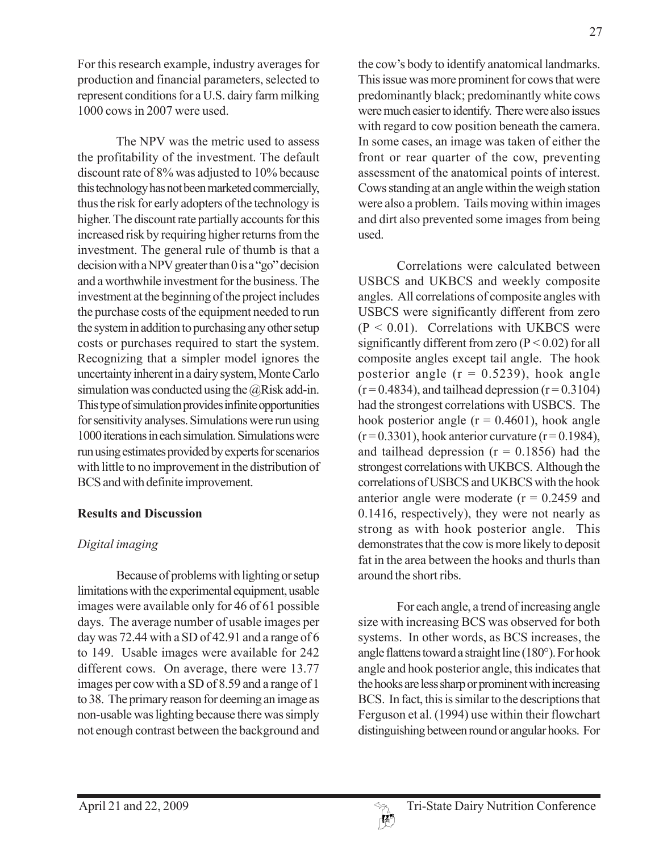For this research example, industry averages for production and financial parameters, selected to represent conditions for a U.S. dairy farm milking 1000 cows in 2007 were used.

The NPV was the metric used to assess the profitability of the investment. The default discount rate of 8% was adjusted to 10% because this technology has not been marketed commercially, thus the risk for early adopters of the technology is higher. The discount rate partially accounts for this increased risk by requiring higher returns from the investment. The general rule of thumb is that a decision with a NPV greater than 0 is a "go" decision and a worthwhile investment for the business. The investment at the beginning of the project includes the purchase costs of the equipment needed to run the system in addition to purchasing any other setup costs or purchases required to start the system. Recognizing that a simpler model ignores the uncertainty inherent in a dairy system, Monte Carlo simulation was conducted using the  $@R$  isk add-in. This type of simulation provides infinite opportunities for sensitivity analyses. Simulations were run using 1000 iterations in each simulation. Simulations were run using estimates provided by experts for scenarios with little to no improvement in the distribution of BCS and with definite improvement.

## **Results and Discussion**

## *Digital imaging*

Because of problems with lighting or setup limitations with the experimental equipment, usable images were available only for 46 of 61 possible days. The average number of usable images per day was 72.44 with a SD of 42.91 and a range of 6 to 149. Usable images were available for 242 different cows. On average, there were 13.77 images per cow with a SD of 8.59 and a range of 1 to 38. The primary reason for deeming an image as non-usable was lighting because there was simply not enough contrast between the background and the cow's body to identify anatomical landmarks. This issue was more prominent for cows that were predominantly black; predominantly white cows were much easier to identify. There were also issues with regard to cow position beneath the camera. In some cases, an image was taken of either the front or rear quarter of the cow, preventing assessment of the anatomical points of interest. Cows standing at an angle within the weigh station were also a problem. Tails moving within images and dirt also prevented some images from being used.

Correlations were calculated between USBCS and UKBCS and weekly composite angles. All correlations of composite angles with USBCS were significantly different from zero  $(P < 0.01)$ . Correlations with UKBCS were significantly different from zero  $(P < 0.02)$  for all composite angles except tail angle. The hook posterior angle  $(r = 0.5239)$ , hook angle  $(r=0.4834)$ , and tailhead depression  $(r=0.3104)$ had the strongest correlations with USBCS. The hook posterior angle  $(r = 0.4601)$ , hook angle  $(r=0.3301)$ , hook anterior curvature  $(r=0.1984)$ , and tailhead depression ( $r = 0.1856$ ) had the strongest correlations with UKBCS. Although the correlations of USBCS and UKBCS with the hook anterior angle were moderate  $(r = 0.2459)$  and 0.1416, respectively), they were not nearly as strong as with hook posterior angle. This demonstrates that the cow is more likely to deposit fat in the area between the hooks and thurls than around the short ribs.

For each angle, a trend of increasing angle size with increasing BCS was observed for both systems. In other words, as BCS increases, the angle flattens toward a straight line (180°). For hook angle and hook posterior angle, this indicates that the hooks are less sharp or prominent with increasing BCS. In fact, this is similar to the descriptions that Ferguson et al. (1994) use within their flowchart distinguishing between round or angular hooks. For

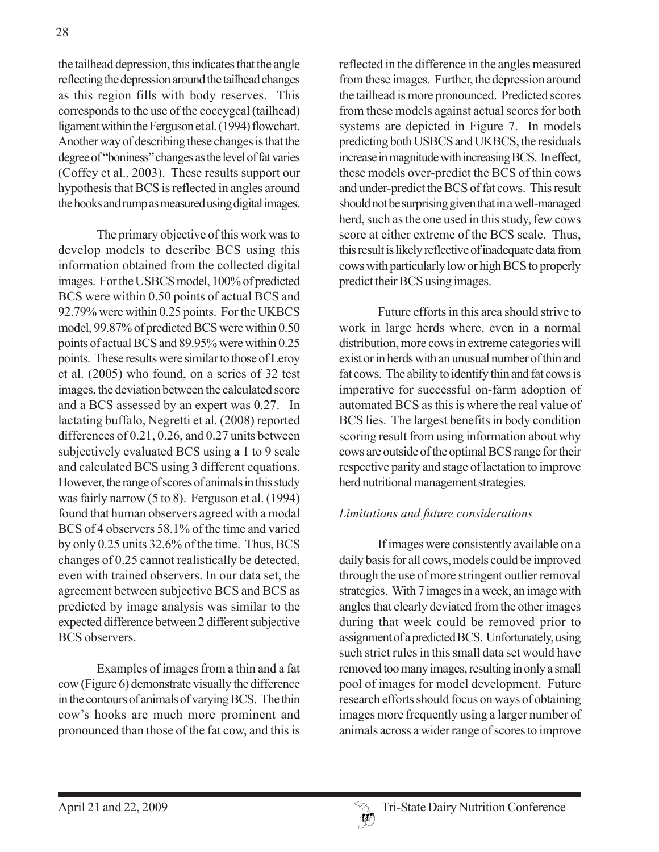the tailhead depression, this indicates that the angle reflecting the depression around the tailhead changes as this region fills with body reserves. This corresponds to the use of the coccygeal (tailhead) ligament within the Ferguson et al. (1994) flowchart. Another way of describing these changes is that the degree of "boniness" changes as the level of fat varies (Coffey et al., 2003). These results support our hypothesis that BCS is reflected in angles around the hooks and rump as measured using digital images.

The primary objective of this work was to develop models to describe BCS using this information obtained from the collected digital images. For the USBCS model, 100% of predicted BCS were within 0.50 points of actual BCS and 92.79% were within 0.25 points. For the UKBCS model, 99.87% of predicted BCS were within 0.50 points of actual BCS and 89.95% were within 0.25 points. These results were similar to those of Leroy et al. (2005) who found, on a series of 32 test images, the deviation between the calculated score and a BCS assessed by an expert was 0.27. In lactating buffalo, Negretti et al. (2008) reported differences of 0.21, 0.26, and 0.27 units between subjectively evaluated BCS using a 1 to 9 scale and calculated BCS using 3 different equations. However, the range of scores of animals in this study was fairly narrow (5 to 8). Ferguson et al. (1994) found that human observers agreed with a modal BCS of 4 observers 58.1% of the time and varied by only 0.25 units 32.6% of the time. Thus, BCS changes of 0.25 cannot realistically be detected, even with trained observers. In our data set, the agreement between subjective BCS and BCS as predicted by image analysis was similar to the expected difference between 2 different subjective BCS observers.

Examples of images from a thin and a fat cow (Figure 6) demonstrate visually the difference in the contours of animals of varying BCS. The thin cow's hooks are much more prominent and pronounced than those of the fat cow, and this is

reflected in the difference in the angles measured from these images. Further, the depression around the tailhead is more pronounced. Predicted scores from these models against actual scores for both systems are depicted in Figure 7. In models predicting both USBCS and UKBCS, the residuals increase in magnitude with increasing BCS. In effect, these models over-predict the BCS of thin cows and under-predict the BCS of fat cows. This result should not be surprising given that in a well-managed herd, such as the one used in this study, few cows score at either extreme of the BCS scale. Thus, this result is likely reflective of inadequate data from cows with particularly low or high BCS to properly predict their BCS using images.

Future efforts in this area should strive to work in large herds where, even in a normal distribution, more cows in extreme categories will exist or in herds with an unusual number of thin and fat cows. The ability to identify thin and fat cows is imperative for successful on-farm adoption of automated BCS as this is where the real value of BCS lies. The largest benefits in body condition scoring result from using information about why cows are outside of the optimal BCS range for their respective parity and stage of lactation to improve herd nutritional management strategies.

## *Limitations and future considerations*

If images were consistently available on a daily basis for all cows, models could be improved through the use of more stringent outlier removal strategies. With 7 images in a week, an image with angles that clearly deviated from the other images during that week could be removed prior to assignment of a predicted BCS. Unfortunately, using such strict rules in this small data set would have removed too many images, resulting in only a small pool of images for model development. Future research efforts should focus on ways of obtaining images more frequently using a larger number of animals across a wider range of scores to improve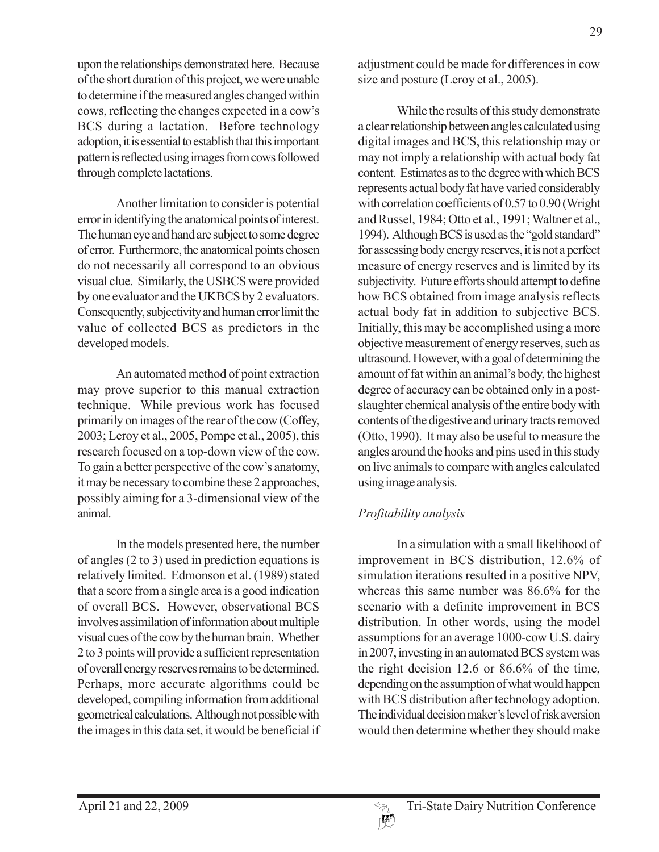upon the relationships demonstrated here. Because of the short duration of this project, we were unable to determine if the measured angles changed within cows, reflecting the changes expected in a cow's BCS during a lactation. Before technology adoption, it is essential to establish that this important pattern is reflected using images from cows followed through complete lactations.

Another limitation to consider is potential error in identifying the anatomical points of interest. The human eye and hand are subject to some degree of error. Furthermore, the anatomical points chosen do not necessarily all correspond to an obvious visual clue. Similarly, the USBCS were provided by one evaluator and the UKBCS by 2 evaluators. Consequently, subjectivity and human error limit the value of collected BCS as predictors in the developed models.

An automated method of point extraction may prove superior to this manual extraction technique. While previous work has focused primarily on images of the rear of the cow (Coffey, 2003; Leroy et al., 2005, Pompe et al., 2005), this research focused on a top-down view of the cow. To gain a better perspective of the cow's anatomy, it may be necessary to combine these 2 approaches, possibly aiming for a 3-dimensional view of the animal.

In the models presented here, the number of angles (2 to 3) used in prediction equations is relatively limited. Edmonson et al. (1989) stated that a score from a single area is a good indication of overall BCS. However, observational BCS involves assimilation of information about multiple visual cues of the cow by the human brain. Whether 2 to 3 points will provide a sufficient representation of overall energy reserves remains to be determined. Perhaps, more accurate algorithms could be developed, compiling information from additional geometrical calculations. Although not possible with the images in this data set, it would be beneficial if adjustment could be made for differences in cow size and posture (Leroy et al., 2005).

While the results of this study demonstrate a clear relationship between angles calculated using digital images and BCS, this relationship may or may not imply a relationship with actual body fat content. Estimates as to the degree with which BCS represents actual body fat have varied considerably with correlation coefficients of 0.57 to 0.90 (Wright and Russel, 1984; Otto et al., 1991; Waltner et al., 1994). Although BCS is used as the "gold standard" for assessing body energy reserves, it is not a perfect measure of energy reserves and is limited by its subjectivity. Future efforts should attempt to define how BCS obtained from image analysis reflects actual body fat in addition to subjective BCS. Initially, this may be accomplished using a more objective measurement of energy reserves, such as ultrasound. However, with a goal of determining the amount of fat within an animal's body, the highest degree of accuracy can be obtained only in a postslaughter chemical analysis of the entire body with contents of the digestive and urinary tracts removed (Otto, 1990). It may also be useful to measure the angles around the hooks and pins used in this study on live animals to compare with angles calculated using image analysis.

# *Profitability analysis*

In a simulation with a small likelihood of improvement in BCS distribution, 12.6% of simulation iterations resulted in a positive NPV, whereas this same number was 86.6% for the scenario with a definite improvement in BCS distribution. In other words, using the model assumptions for an average 1000-cow U.S. dairy in 2007, investing in an automated BCS system was the right decision 12.6 or 86.6% of the time, depending on the assumption of what would happen with BCS distribution after technology adoption. The individual decision maker's level of risk aversion would then determine whether they should make

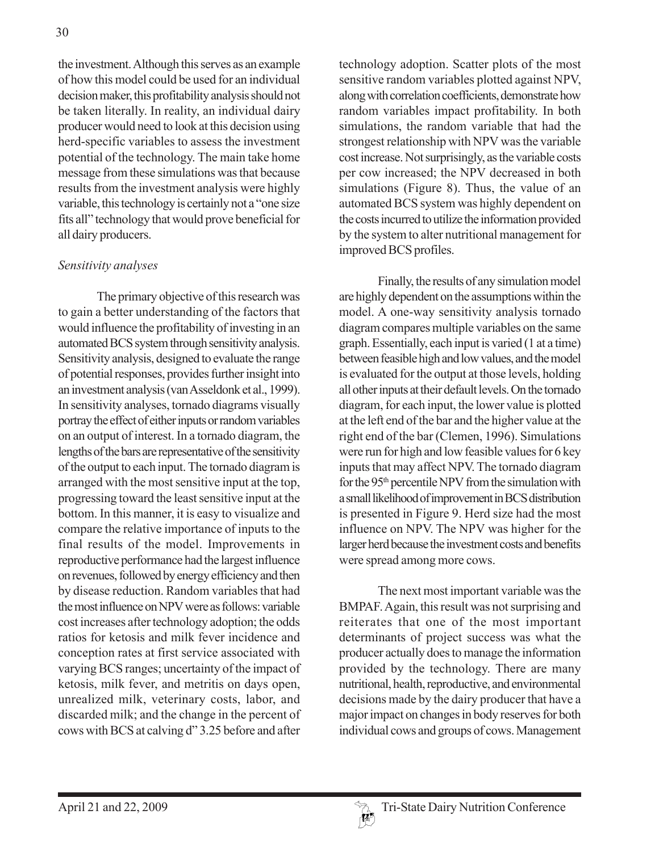the investment. Although this serves as an example of how this model could be used for an individual decision maker, this profitability analysis should not be taken literally. In reality, an individual dairy producer would need to look at this decision using herd-specific variables to assess the investment potential of the technology. The main take home message from these simulations was that because results from the investment analysis were highly variable, this technology is certainly not a "one size fits all" technology that would prove beneficial for all dairy producers.

#### *Sensitivity analyses*

The primary objective of this research was to gain a better understanding of the factors that would influence the profitability of investing in an automated BCS system through sensitivity analysis. Sensitivity analysis, designed to evaluate the range of potential responses, provides further insight into an investment analysis (van Asseldonk et al., 1999). In sensitivity analyses, tornado diagrams visually portray the effect of either inputs or random variables on an output of interest. In a tornado diagram, the lengths of the bars are representative of the sensitivity of the output to each input. The tornado diagram is arranged with the most sensitive input at the top, progressing toward the least sensitive input at the bottom. In this manner, it is easy to visualize and compare the relative importance of inputs to the final results of the model. Improvements in reproductive performance had the largest influence on revenues, followed by energy efficiency and then by disease reduction. Random variables that had the most influence on NPV were as follows: variable cost increases after technology adoption; the odds ratios for ketosis and milk fever incidence and conception rates at first service associated with varying BCS ranges; uncertainty of the impact of ketosis, milk fever, and metritis on days open, unrealized milk, veterinary costs, labor, and discarded milk; and the change in the percent of cows with BCS at calving d" 3.25 before and after technology adoption. Scatter plots of the most sensitive random variables plotted against NPV, along with correlation coefficients, demonstrate how random variables impact profitability. In both simulations, the random variable that had the strongest relationship with NPV was the variable cost increase. Not surprisingly, as the variable costs per cow increased; the NPV decreased in both simulations (Figure 8). Thus, the value of an automated BCS system was highly dependent on the costs incurred to utilize the information provided by the system to alter nutritional management for improved BCS profiles.

Finally, the results of any simulation model are highly dependent on the assumptions within the model. A one-way sensitivity analysis tornado diagram compares multiple variables on the same graph. Essentially, each input is varied (1 at a time) between feasible high and low values, and the model is evaluated for the output at those levels, holding all other inputs at their default levels. On the tornado diagram, for each input, the lower value is plotted at the left end of the bar and the higher value at the right end of the bar (Clemen, 1996). Simulations were run for high and low feasible values for 6 key inputs that may affect NPV. The tornado diagram for the 95th percentile NPV from the simulation with a small likelihood of improvement in BCS distribution is presented in Figure 9. Herd size had the most influence on NPV. The NPV was higher for the larger herd because the investment costs and benefits were spread among more cows.

The next most important variable was the BMPAF. Again, this result was not surprising and reiterates that one of the most important determinants of project success was what the producer actually does to manage the information provided by the technology. There are many nutritional, health, reproductive, and environmental decisions made by the dairy producer that have a major impact on changes in body reserves for both individual cows and groups of cows. Management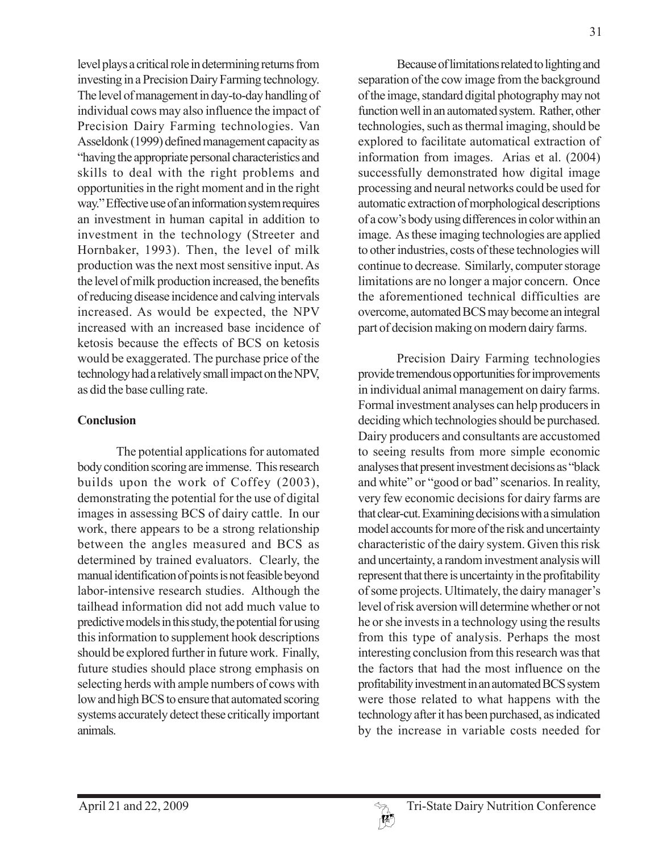level plays a critical role in determining returns from investing in a Precision Dairy Farming technology. The level of management in day-to-day handling of individual cows may also influence the impact of Precision Dairy Farming technologies. Van Asseldonk (1999) defined management capacity as "having the appropriate personal characteristics and skills to deal with the right problems and opportunities in the right moment and in the right way." Effective use of an information system requires an investment in human capital in addition to investment in the technology (Streeter and Hornbaker, 1993). Then, the level of milk production was the next most sensitive input. As the level of milk production increased, the benefits of reducing disease incidence and calving intervals increased. As would be expected, the NPV increased with an increased base incidence of ketosis because the effects of BCS on ketosis would be exaggerated. The purchase price of the technology had a relatively small impact on the NPV, as did the base culling rate.

## **Conclusion**

The potential applications for automated body condition scoring are immense. This research builds upon the work of Coffey (2003), demonstrating the potential for the use of digital images in assessing BCS of dairy cattle. In our work, there appears to be a strong relationship between the angles measured and BCS as determined by trained evaluators. Clearly, the manual identification of points is not feasible beyond labor-intensive research studies. Although the tailhead information did not add much value to predictive models in this study, the potential for using this information to supplement hook descriptions should be explored further in future work. Finally, future studies should place strong emphasis on selecting herds with ample numbers of cows with low and high BCS to ensure that automated scoring systems accurately detect these critically important animals.

Because of limitations related to lighting and separation of the cow image from the background of the image, standard digital photography may not function well in an automated system. Rather, other technologies, such as thermal imaging, should be explored to facilitate automatical extraction of information from images. Arias et al. (2004) successfully demonstrated how digital image processing and neural networks could be used for automatic extraction of morphological descriptions of a cow's body using differences in color within an image. As these imaging technologies are applied to other industries, costs of these technologies will continue to decrease. Similarly, computer storage limitations are no longer a major concern. Once the aforementioned technical difficulties are overcome, automated BCS may become an integral part of decision making on modern dairy farms.

Precision Dairy Farming technologies provide tremendous opportunities for improvements in individual animal management on dairy farms. Formal investment analyses can help producers in deciding which technologies should be purchased. Dairy producers and consultants are accustomed to seeing results from more simple economic analyses that present investment decisions as "black and white" or "good or bad" scenarios. In reality, very few economic decisions for dairy farms are that clear-cut. Examining decisions with a simulation model accounts for more of the risk and uncertainty characteristic of the dairy system. Given this risk and uncertainty, a random investment analysis will represent that there is uncertainty in the profitability of some projects. Ultimately, the dairy manager's level of risk aversion will determine whether or not he or she invests in a technology using the results from this type of analysis. Perhaps the most interesting conclusion from this research was that the factors that had the most influence on the profitability investment in an automated BCS system were those related to what happens with the technology after it has been purchased, as indicated by the increase in variable costs needed for

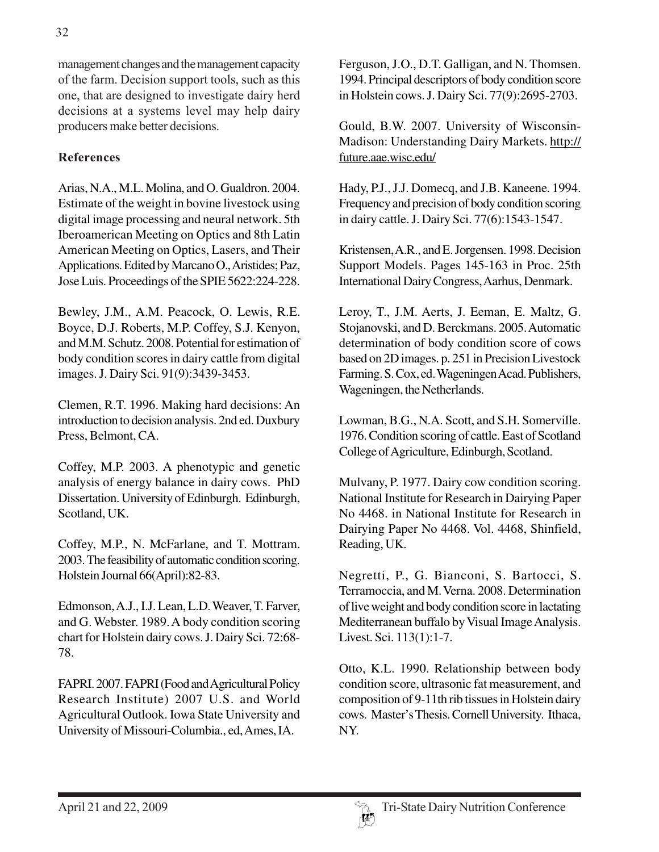management changes and the management capacity of the farm. Decision support tools, such as this one, that are designed to investigate dairy herd decisions at a systems level may help dairy producers make better decisions.

## **References**

Arias, N.A., M.L. Molina, and O. Gualdron. 2004. Estimate of the weight in bovine livestock using digital image processing and neural network. 5th Iberoamerican Meeting on Optics and 8th Latin American Meeting on Optics, Lasers, and Their Applications. Edited by Marcano O., Aristides; Paz, Jose Luis. Proceedings of the SPIE 5622:224-228.

Bewley, J.M., A.M. Peacock, O. Lewis, R.E. Boyce, D.J. Roberts, M.P. Coffey, S.J. Kenyon, and M.M. Schutz. 2008. Potential for estimation of body condition scores in dairy cattle from digital images. J. Dairy Sci. 91(9):3439-3453.

Clemen, R.T. 1996. Making hard decisions: An introduction to decision analysis. 2nd ed. Duxbury Press, Belmont, CA.

Coffey, M.P. 2003. A phenotypic and genetic analysis of energy balance in dairy cows. PhD Dissertation. University of Edinburgh. Edinburgh, Scotland, UK.

Coffey, M.P., N. McFarlane, and T. Mottram. 2003. The feasibility of automatic condition scoring. Holstein Journal 66(April):82-83.

Edmonson, A.J., I.J. Lean, L.D. Weaver, T. Farver, and G. Webster. 1989. A body condition scoring chart for Holstein dairy cows. J. Dairy Sci. 72:68- 78.

FAPRI. 2007. FAPRI (Food and Agricultural Policy Research Institute) 2007 U.S. and World Agricultural Outlook. Iowa State University and University of Missouri-Columbia., ed, Ames, IA.

Ferguson, J.O., D.T. Galligan, and N. Thomsen. 1994. Principal descriptors of body condition score in Holstein cows. J. Dairy Sci. 77(9):2695-2703.

Gould, B.W. 2007. University of Wisconsin-Madison: Understanding Dairy Markets. http:// future.aae.wisc.edu/

Hady, P.J., J.J. Domecq, and J.B. Kaneene. 1994. Frequency and precision of body condition scoring in dairy cattle. J. Dairy Sci. 77(6):1543-1547.

Kristensen, A.R., and E. Jorgensen. 1998. Decision Support Models. Pages 145-163 in Proc. 25th International Dairy Congress, Aarhus, Denmark.

Leroy, T., J.M. Aerts, J. Eeman, E. Maltz, G. Stojanovski, and D. Berckmans. 2005. Automatic determination of body condition score of cows based on 2D images. p. 251 in Precision Livestock Farming. S. Cox, ed. Wageningen Acad. Publishers, Wageningen, the Netherlands.

Lowman, B.G., N.A. Scott, and S.H. Somerville. 1976. Condition scoring of cattle. East of Scotland College of Agriculture, Edinburgh, Scotland.

Mulvany, P. 1977. Dairy cow condition scoring. National Institute for Research in Dairying Paper No 4468. in National Institute for Research in Dairying Paper No 4468. Vol. 4468, Shinfield, Reading, UK.

Negretti, P., G. Bianconi, S. Bartocci, S. Terramoccia, and M. Verna. 2008. Determination of live weight and body condition score in lactating Mediterranean buffalo by Visual Image Analysis. Livest. Sci. 113(1):1-7.

Otto, K.L. 1990. Relationship between body condition score, ultrasonic fat measurement, and composition of 9-11th rib tissues in Holstein dairy cows. Master's Thesis. Cornell University. Ithaca, NY.

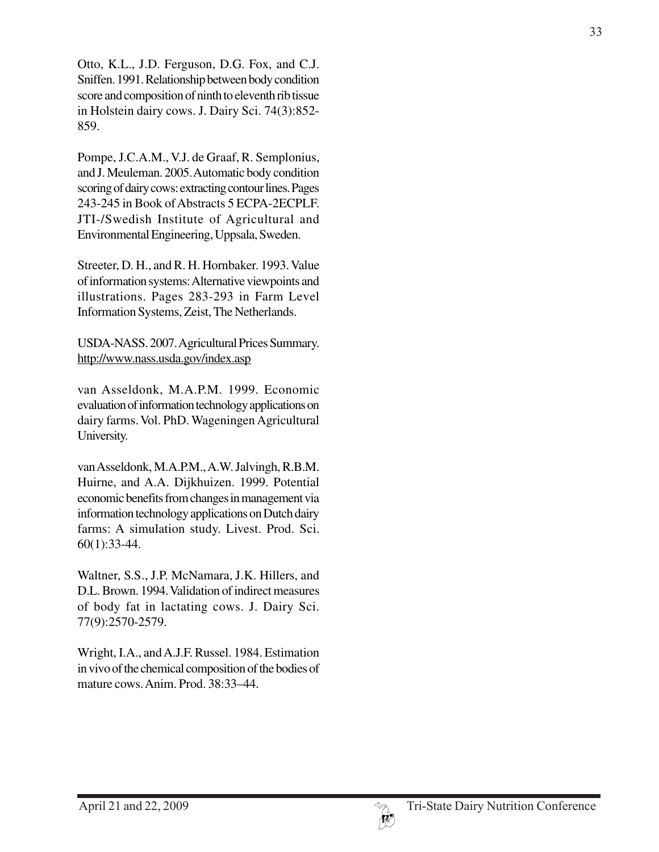Otto, K.L., J.D. Ferguson, D.G. Fox, and C.J. Sniffen. 1991. Relationship between body condition score and composition of ninth to eleventh rib tissue in Holstein dairy cows. J. Dairy Sci. 74(3):852- 859.

Pompe, J.C.A.M., V.J. de Graaf, R. Semplonius, and J. Meuleman. 2005. Automatic body condition scoring of dairy cows: extracting contour lines. Pages 243-245 in Book of Abstracts 5 ECPA-2ECPLF. JTI-/Swedish Institute of Agricultural and Environmental Engineering, Uppsala, Sweden.

Streeter, D. H., and R. H. Hornbaker. 1993. Value of information systems: Alternative viewpoints and illustrations. Pages 283-293 in Farm Level Information Systems, Zeist, The Netherlands.

USDA-NASS. 2007. Agricultural Prices Summary. http://www.nass.usda.gov/index.asp

van Asseldonk, M.A.P.M. 1999. Economic evaluation of information technology applications on dairy farms. Vol. PhD. Wageningen Agricultural University.

van Asseldonk, M.A.P.M., A.W. Jalvingh, R.B.M. Huirne, and A.A. Dijkhuizen. 1999. Potential economic benefits from changes in management via information technology applications on Dutch dairy farms: A simulation study. Livest. Prod. Sci. 60(1):33-44.

Waltner, S.S., J.P. McNamara, J.K. Hillers, and D.L. Brown. 1994. Validation of indirect measures of body fat in lactating cows. J. Dairy Sci. 77(9):2570-2579.

Wright, I.A., and A.J.F. Russel. 1984. Estimation in vivo of the chemical composition of the bodies of mature cows. Anim. Prod. 38:33–44.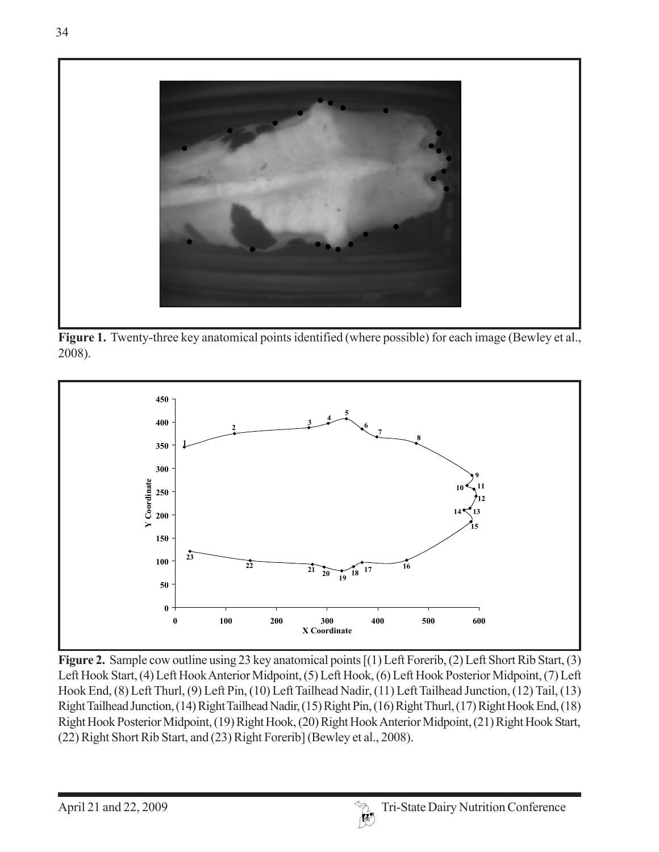

**Figure 1.** Twenty-three key anatomical points identified (where possible) for each image (Bewley et al., 2008).



**Figure 2.** Sample cow outline using 23 key anatomical points [(1) Left Forerib, (2) Left Short Rib Start, (3) Left Hook Start, (4) Left Hook Anterior Midpoint, (5) Left Hook, (6) Left Hook Posterior Midpoint, (7) Left Hook End, (8) Left Thurl, (9) Left Pin, (10) Left Tailhead Nadir, (11) Left Tailhead Junction, (12) Tail, (13) Right Tailhead Junction, (14) Right Tailhead Nadir, (15) Right Pin, (16) Right Thurl, (17) Right Hook End, (18) Right Hook Posterior Midpoint, (19) Right Hook, (20) Right Hook Anterior Midpoint, (21) Right Hook Start, (22) Right Short Rib Start, and (23) Right Forerib] (Bewley et al., 2008).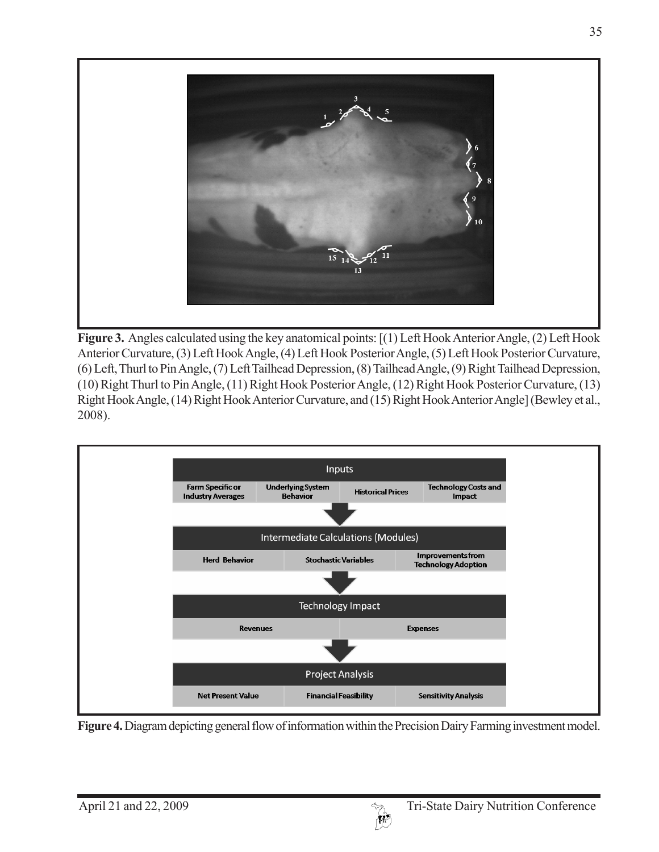

**Figure 3.** Angles calculated using the key anatomical points: [(1) Left Hook Anterior Angle, (2) Left Hook Anterior Curvature, (3) Left Hook Angle, (4) Left Hook Posterior Angle, (5) Left Hook Posterior Curvature, (6) Left, Thurl to Pin Angle, (7) Left Tailhead Depression, (8) Tailhead Angle, (9) Right Tailhead Depression, (10) Right Thurl to Pin Angle, (11) Right Hook Posterior Angle, (12) Right Hook Posterior Curvature, (13) Right Hook Angle, (14) Right Hook Anterior Curvature, and (15) Right Hook Anterior Angle] (Bewley et al., 2008).



**Figure 4.** Diagram depicting general flow of information within the Precision Dairy Farming investment model.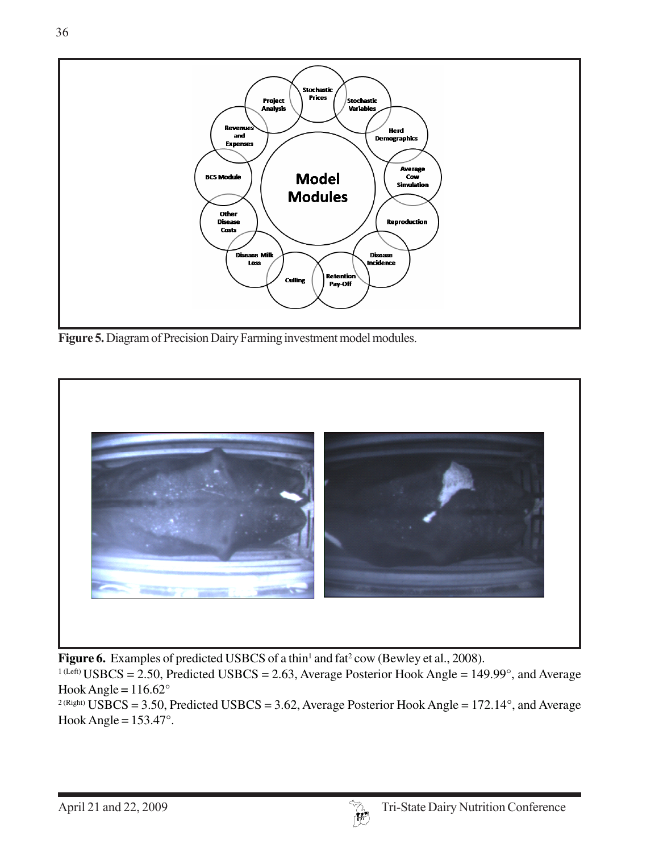

**Figure 5.** Diagram of Precision Dairy Farming investment model modules.



Figure 6. Examples of predicted USBCS of a thin<sup>1</sup> and fat<sup>2</sup> cow (Bewley et al., 2008).

<sup>1 (Left)</sup> USBCS = 2.50, Predicted USBCS = 2.63, Average Posterior Hook Angle = 149.99°, and Average Hook Angle =  $116.62^\circ$ 

<sup>2 (Right)</sup> USBCS = 3.50, Predicted USBCS = 3.62, Average Posterior Hook Angle = 172.14°, and Average Hook Angle =  $153.47^\circ$ .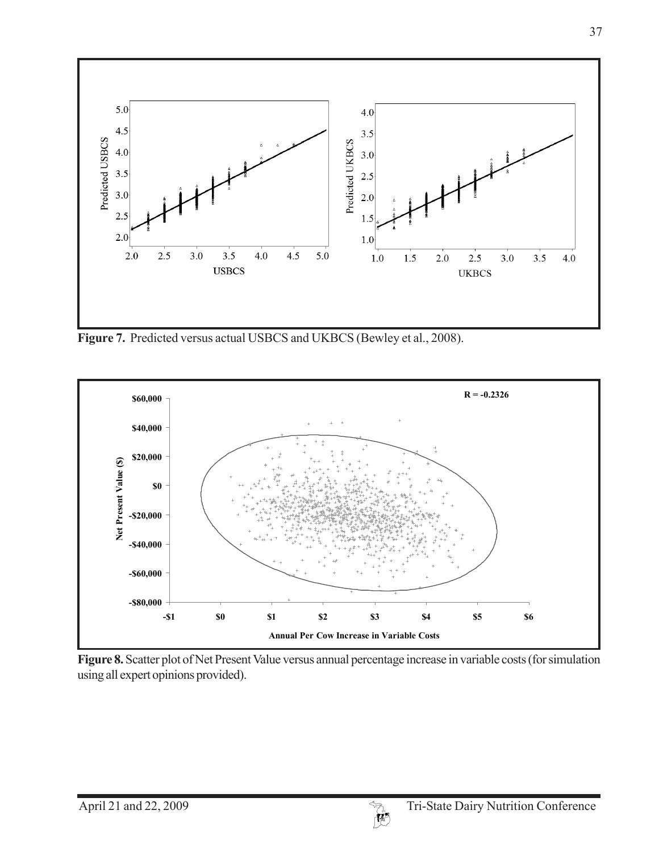

**Figure 7.** Predicted versus actual USBCS and UKBCS (Bewley et al., 2008).



**Figure 8.** Scatter plot of Net Present Value versus annual percentage increase in variable costs (for simulation using all expert opinions provided).